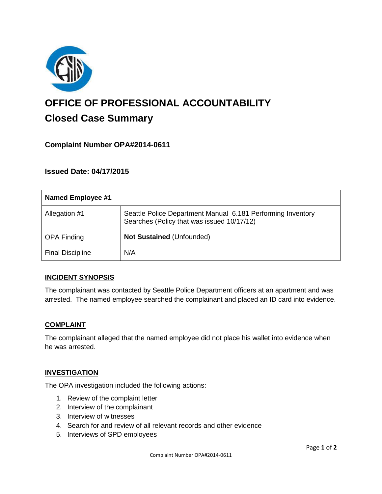

# **OFFICE OF PROFESSIONAL ACCOUNTABILITY Closed Case Summary**

# **Complaint Number OPA#2014-0611**

# **Issued Date: 04/17/2015**

| Named Employee #1       |                                                                                                           |
|-------------------------|-----------------------------------------------------------------------------------------------------------|
| Allegation #1           | Seattle Police Department Manual 6.181 Performing Inventory<br>Searches (Policy that was issued 10/17/12) |
| <b>OPA Finding</b>      | <b>Not Sustained (Unfounded)</b>                                                                          |
| <b>Final Discipline</b> | N/A                                                                                                       |

## **INCIDENT SYNOPSIS**

The complainant was contacted by Seattle Police Department officers at an apartment and was arrested. The named employee searched the complainant and placed an ID card into evidence.

#### **COMPLAINT**

The complainant alleged that the named employee did not place his wallet into evidence when he was arrested.

## **INVESTIGATION**

The OPA investigation included the following actions:

- 1. Review of the complaint letter
- 2. Interview of the complainant
- 3. Interview of witnesses
- 4. Search for and review of all relevant records and other evidence
- 5. Interviews of SPD employees